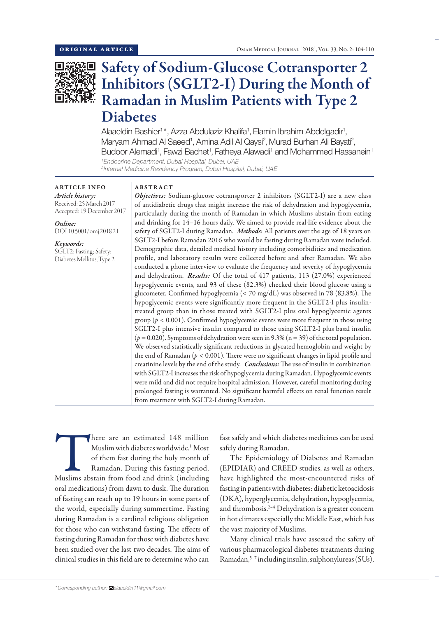

# Safety of Sodium-Glucose Cotransporter 2 Inhibitors (SGLT2-I) During the Month of Ramadan in Muslim Patients with Type 2 Diabetes

Alaaeldin Bashier<sup>1\*</sup>, Azza Abdulaziz Khalifa<sup>1</sup>, Elamin Ibrahim Abdelgadir<sup>1</sup>, Maryam Ahmad Al Saeed<sup>1</sup>, Amina Adil Al Qaysi<sup>2</sup>, Murad Burhan Ali Bayati<sup>2</sup>, Budoor Alemadi<sup>1</sup>, Fawzi Bachet<sup>1</sup>, Fatheya Alawadi<sup>1</sup> and Mohammed Hassanein<sup>1</sup> *1 Endocrine Department, Dubai Hospital, Dubai, UAE*

*2 Internal Medicine Residency Program, Dubai Hospital, Dubai, UAE*

ARTICLE INFO *Article history:* Received: 25 March 2017 Accepted: 19 December 2017

*Online:* DOI 10.5001/omj.2018.21

*Keywords:*  SGLT2; Fasting; Safety; Diabetes Mellitus, Type 2.

# ABSTRACT

*Objectives:* Sodium-glucose cotransporter 2 inhibitors (SGLT2-I) are a new class of antidiabetic drugs that might increase the risk of dehydration and hypoglycemia, particularly during the month of Ramadan in which Muslims abstain from eating and drinking for 14–16 hours daily. We aimed to provide real-life evidence about the safety of SGLT2-I during Ramadan. *Methods*: All patients over the age of 18 years on SGLT2-I before Ramadan 2016 who would be fasting during Ramadan were included. Demographic data, detailed medical history including comorbidities and medication profile, and laboratory results were collected before and after Ramadan. We also conducted a phone interview to evaluate the frequency and severity of hypoglycemia and dehydration. *Results:* Of the total of 417 patients, 113 (27.0%) experienced hypoglycemic events, and 93 of these (82.3%) checked their blood glucose using a glucometer. Confirmed hypoglycemia (< 70 mg/dL) was observed in 78 (83.8%). The hypoglycemic events were significantly more frequent in the SGLT2-I plus insulintreated group than in those treated with SGLT2-I plus oral hypoglycemic agents group (*p* < 0.001). Confirmed hypoglycemic events were more frequent in those using SGLT2-I plus intensive insulin compared to those using SGLT2-I plus basal insulin  $(p = 0.020)$ . Symptoms of dehydration were seen in 9.3% ( $n = 39$ ) of the total population. We observed statistically significant reductions in glycated hemoglobin and weight by the end of Ramadan (*p* < 0.001). There were no significant changes in lipid profile and creatinine levels by the end of the study. *Conclusions:* The use of insulin in combination with SGLT2-I increases the risk of hypoglycemia during Ramadan. Hypoglycemic events were mild and did not require hospital admission. However, careful monitoring during prolonged fasting is warranted. No significant harmful effects on renal function result from treatment with SGLT2-I during Ramadan.

There are an estimated 148 million<br>
Muslim with diabetes worldwide.<sup>1</sup> Most<br>
of them fast during the holy month of<br>
Ramadan. During this fasting period,<br>
Muslims abstain from food and drink (including Muslim with diabetes worldwide.1 Most of them fast during the holy month of Ramadan. During this fasting period, oral medications) from dawn to dusk. The duration of fasting can reach up to 19 hours in some parts of the world, especially during summertime. Fasting during Ramadan is a cardinal religious obligation for those who can withstand fasting. The effects of fasting during Ramadan for those with diabetes have been studied over the last two decades. The aims of clinical studies in this field are to determine who can

fast safely and which diabetes medicines can be used safely during Ramadan.

The Epidemiology of Diabetes and Ramadan (EPIDIAR) and CREED studies, as well as others, have highlighted the most-encountered risks of fasting in patients with diabetes: diabetic ketoacidosis (DKA), hyperglycemia, dehydration, hypoglycemia, and thrombosis.<sup>2-4</sup> Dehydration is a greater concern in hot climates especially the Middle East, which has the vast majority of Muslims.

Many clinical trials have assessed the safety of various pharmacological diabetes treatments during Ramadan,5–7 including insulin, sulphonylureas (SUs),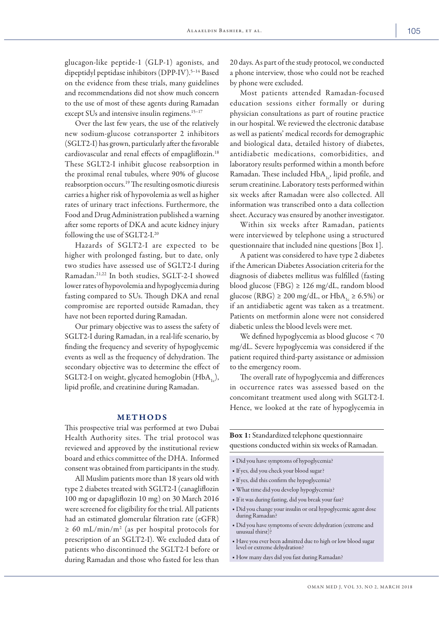glucagon-like peptide-1 (GLP-1) agonists, and dipeptidyl peptidase inhibitors (DPP-IV).<sup>5-14</sup> Based on the evidence from these trials, many guidelines and recommendations did not show much concern to the use of most of these agents during Ramadan except SUs and intensive insulin regimens.<sup>15-17</sup>

Over the last few years, the use of the relatively new sodium-glucose cotransporter 2 inhibitors (SGLT2-I) has grown, particularly after the favorable cardiovascular and renal effects of empagliflozin.18 These SGLT2-I inhibit glucose reabsorption in the proximal renal tubules, where 90% of glucose reabsorption occurs.19 The resulting osmotic diuresis carries a higher risk of hypovolemia as well as higher rates of urinary tract infections. Furthermore, the Food and Drug Administration published a warning after some reports of DKA and acute kidney injury following the use of SGLT2-I.20

Hazards of SGLT2-I are expected to be higher with prolonged fasting, but to date, only two studies have assessed use of SGLT2-I during Ramadan.21,22 In both studies, SGLT-2-I showed lower rates of hypovolemia and hypoglycemia during fasting compared to SUs. Though DKA and renal compromise are reported outside Ramadan, they have not been reported during Ramadan.

Our primary objective was to assess the safety of SGLT2-I during Ramadan, in a real-life scenario, by finding the frequency and severity of hypoglycemic events as well as the frequency of dehydration. The secondary objective was to determine the effect of SGLT2-I on weight, glycated hemoglobin ( $HbA_1$ ), lipid profile, and creatinine during Ramadan.

## METHODS

This prospective trial was performed at two Dubai Health Authority sites. The trial protocol was reviewed and approved by the institutional review board and ethics committee of the DHA. Informed consent was obtained from participants in the study.

All Muslim patients more than 18 years old with type 2 diabetes treated with SGLT2-I (canagliflozin 100 mg or dapagliflozin 10 mg) on 30 March 2016 were screened for eligibility for the trial. All patients had an estimated glomerular filtration rate (eGFR) ≥ 60 mL/min/m2 (as per hospital protocols for prescription of an SGLT2-I). We excluded data of patients who discontinued the SGLT2-I before or during Ramadan and those who fasted for less than

20 days. As part of the study protocol, we conducted a phone interview, those who could not be reached by phone were excluded.

Most patients attended Ramadan-focused education sessions either formally or during physician consultations as part of routine practice in our hospital. We reviewed the electronic database as well as patients' medical records for demographic and biological data, detailed history of diabetes, antidiabetic medications, comorbidities, and laboratory results performed within a month before Ramadan. These included HbA<sub>1c</sub>, lipid profile, and serum creatinine. Laboratory tests performed within six weeks after Ramadan were also collected. All information was transcribed onto a data collection sheet. Accuracy was ensured by another investigator.

Within six weeks after Ramadan, patients were interviewed by telephone using a structured questionnaire that included nine questions [Box 1].

A patient was considered to have type 2 diabetes if the American Diabetes Association criteria for the diagnosis of diabetes mellitus was fulfilled (fasting blood glucose (FBG)  $\geq$  126 mg/dL, random blood glucose (RBG)  $\geq 200$  mg/dL, or HbA<sub>1e</sub>  $\geq 6.5\%$ ) or if an antidiabetic agent was taken as a treatment. Patients on metformin alone were not considered diabetic unless the blood levels were met.

We defined hypoglycemia as blood glucose < 70 mg/dL. Severe hypoglycemia was considered if the patient required third-party assistance or admission to the emergency room.

The overall rate of hypoglycemia and differences in occurrence rates was assessed based on the concomitant treatment used along with SGLT2-I. Hence, we looked at the rate of hypoglycemia in

Box 1: Standardized telephone questionnaire questions conducted within six weeks of Ramadan.

■ Did you have symptoms of hypoglycemia?

- If yes, did you check your blood sugar?
- If yes, did this confirm the hypoglycemia?
- What time did you develop hypoglycemia?
- If it was during fasting, did you break your fast?
- Did you change your insulin or oral hypoglycemic agent dose during Ramadan?
- Did you have symptoms of severe dehydration (extreme and unusual thirst)?
- Have you ever been admitted due to high or low blood sugar level or extreme dehydration?
- How many days did you fast during Ramadan?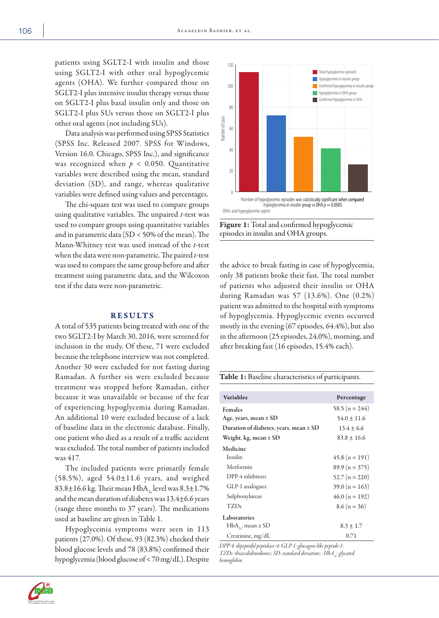patients using SGLT2-I with insulin and those using SGLT2-I with other oral hypoglycemic agents (OHA). We further compared those on SGLT2-I plus intensive insulin therapy versus those on SGLT2-I plus basal insulin only and those on SGLT2-I plus SUs versus those on SGLT2-I plus other oral agents (not including SUs).

Data analysis was performed using SPSS Statistics (SPSS Inc. Released 2007. SPSS for Windows, Version 16.0. Chicago, SPSS Inc.), and significance was recognized when  $p < 0.050$ . Quantitative variables were described using the mean, standard deviation (SD), and range, whereas qualitative variables were defined using values and percentages.

The chi-square test was used to compare groups using qualitative variables. The unpaired *t*-test was used to compare groups using quantitative variables and in parametric data (SD < 50% of the mean). The Mann-Whitney test was used instead of the *t*-test when the data were non-parametric. The paired *t*-test was used to compare the same group before and after treatment using parametric data, and the Wilcoxon test if the data were non-parametric.

## RESULTS

A total of 535 patients being treated with one of the two SGLT2-I by March 30, 2016, were screened for inclusion in the study. Of these, 71 were excluded because the telephone interview was not completed. Another 30 were excluded for not fasting during Ramadan. A further six were excluded because treatment was stopped before Ramadan, either because it was unavailable or because of the fear of experiencing hypoglycemia during Ramadan. An additional 10 were excluded because of a lack of baseline data in the electronic database. Finally, one patient who died as a result of a traffic accident was excluded. The total number of patients included was 417.

The included patients were primarily female  $(58.5\%)$ , aged  $54.0 \pm 11.6$  years, and weighed  $83.8\pm16.6$  kg. Their mean HbA<sub>1c</sub> level was  $8.3\pm1.7\%$ and the mean duration of diabetes was 13.4±6.6 years (range three months to 37 years). The medications used at baseline are given in Table 1.

Hypoglycemia symptoms were seen in 113 patients (27.0%). Of these, 93 (82.3%) checked their blood glucose levels and 78 (83.8%) confirmed their hypoglycemia (blood glucose of < 70 mg/dL). Despite





the advice to break fasting in case of hypoglycemia, only 38 patients broke their fast. The total number of patients who adjusted their insulin or OHA during Ramadan was 57 (13.6%). One (0.2%) patient was admitted to the hospital with symptoms of hypoglycemia. Hypoglycemic events occurred mostly in the evening (67 episodes, 64.4%), but also in the afternoon (25 episodes, 24.0%), morning, and after breaking fast (16 episodes, 15.4% each).

| Table 1: Baseline characteristics of participants. |  |
|----------------------------------------------------|--|
|----------------------------------------------------|--|

| <b>Variables</b>                           | Percentage         |
|--------------------------------------------|--------------------|
| <b>Females</b>                             | 58.5 ( $n = 244$ ) |
| Age, years, mean $\pm$ SD                  | $54.0 \pm 11.6$    |
| Duration of diabetes, years, mean $\pm$ SD | $13.4 + 6.6$       |
| Weight, kg, mean $\pm$ SD                  | $83.8 + 16.6$      |
| Medicine                                   |                    |
| Insulin                                    | $45.8(n = 191)$    |
| Merformin                                  | $89.9(n = 375)$    |
| DPP-4 inhibitors                           | $52.7(n = 220)$    |
| GLP-1 analogues                            | $39.0 (n = 163)$   |
| Sulphonylureas                             | $46.0 (n = 192)$   |
| TZDs                                       | $8.6(n = 36)$      |
| Laboratories                               |                    |
| $HbA_{1c}$ , mean ± SD                     | $8.3 \pm 1.7$      |
| Creatinine, $mg/dL$                        | 0.71               |

*DPP-4: dipeptidyl peptidase-4; GLP-1: glucagon-like peptide-1; TZDs: thiazolidinediones; SD: standard deviation; . HbA<sub>1</sub>: glycated hemoglobin*

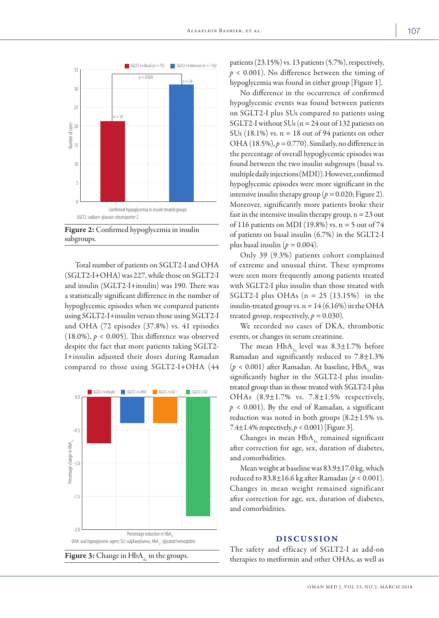

Figure 2: Confirmed hypoglycemia in insulin subgroups.

Total number of patients on SGLT2-I and OHA (SGLT2-I+OHA) was 227, while those on SGLT2-I and insulin (SGLT2-I+insulin) was 190. There was a statistically significant difference in the number of hypoglycemic episodes when we compared patients using SGLT2-I+insulin versus those using SGLT2-I and OHA (72 episodes (37.8%) vs. 41 episodes (18.0%),  $p < 0.005$ ). This difference was observed despite the fact that more patients taking SGLT2- I+insulin adjusted their doses during Ramadan compared to those using SGLT2-I+OHA (44





patients (23.15%) vs. 13 patients (5.7%), respectively, *p* < 0.001). No difference between the timing of hypoglycemia was found in either group [Figure 1].

No difference in the occurrence of confirmed hypoglycemic events was found between patients on SGLT2-I plus SUs compared to patients using SGLT2-I without SUs ( $n = 24$  out of 132 patients on SUs (18.1%) vs.  $n = 18$  out of 94 patients on other OHA (18.5%),  $p = 0.770$ ). Similarly, no difference in the percentage of overall hypoglycemic episodes was found between the two insulin subgroups (basal vs. multiple daily injections (MDI)). However, confirmed hypoglycemic episodes were more significant in the intensive insulin therapy group ( $p = 0.020$ ; Figure 2). Moreover, significantly more patients broke their fast in the intensive insulin therapy group,  $n = 23$  out of 116 patients on MDI (19.8%) vs. n = 5 out of 74 of patients on basal insulin (6.7%) in the SGLT2-I plus basal insulin ( $p = 0.004$ ).

Only 39 (9.3%) patients cohort complained of extreme and unusual thirst. These symptoms were seen more frequently among patients treated with SGLT2-I plus insulin than those treated with SGLT2-I plus OHAs  $(n = 25 (13.15%)$  in the insulin-treated group vs.  $n = 14 (6.16%)$  in the OHA treated group, respectively,  $p = 0.030$ ).

We recorded no cases of DKA, thrombotic events, or changes in serum creatinine.

The mean  $HbA_{1c}$  level was  $8.3 \pm 1.7\%$  before Ramadan and significantly reduced to 7.8±1.3%  $(p < 0.001)$  after Ramadan. At baseline, HbA<sub>1c</sub> was significantly higher in the SGLT2-I plus insulintreated group than in those treated with SGLT2-I plus OHAs  $(8.9 \pm 1.7\%$  vs.  $7.8 \pm 1.5\%$  respectively,  $p < 0.001$ ). By the end of Ramadan, a significant reduction was noted in both groups  $(8.2 \pm 1.5\% \text{ vs.})$ 7.4 $\pm$ 1.4% respectively,  $p < 0.001$  [Figure 3].

Changes in mean  $HbA_{1c}$  remained significant after correction for age, sex, duration of diabetes, and comorbidities.

Mean weight at baseline was 83.9±17.0 kg, which reduced to 83.8±16.6 kg after Ramadan (*p* < 0.001). Changes in mean weight remained significant after correction for age, sex, duration of diabetes, and comorbidities.

# DISCUSSION

The safety and efficacy of SGLT2-I as add-on therapies to metformin and other OHAs, as well as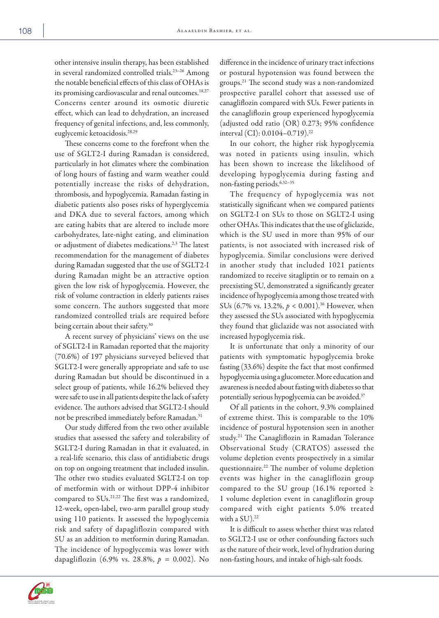other intensive insulin therapy, has been established in several randomized controlled trials.<sup>23-26</sup> Among the notable beneficial effects of this class of OHAs is its promising cardiovascular and renal outcomes.<sup>18,27</sup> Concerns center around its osmotic diuretic effect, which can lead to dehydration, an increased frequency of genital infections, and, less commonly, euglycemic ketoacidosis.28,29

These concerns come to the forefront when the use of SGLT2-I during Ramadan is considered, particularly in hot climates where the combination of long hours of fasting and warm weather could potentially increase the risks of dehydration, thrombosis, and hypoglycemia. Ramadan fasting in diabetic patients also poses risks of hyperglycemia and DKA due to several factors, among which are eating habits that are altered to include more carbohydrates, late-night eating, and elimination or adjustment of diabetes medications.<sup>2,3</sup> The latest recommendation for the management of diabetes during Ramadan suggested that the use of SGLT2-I during Ramadan might be an attractive option given the low risk of hypoglycemia. However, the risk of volume contraction in elderly patients raises some concern. The authors suggested that more randomized controlled trials are required before being certain about their safety.<sup>30</sup>

A recent survey of physicians' views on the use of SGLT2-I in Ramadan reported that the majority (70.6%) of 197 physicians surveyed believed that SGLT2-I were generally appropriate and safe to use during Ramadan but should be discontinued in a select group of patients, while 16.2% believed they were safe to use in all patients despite the lack of safety evidence. The authors advised that SGLT2-I should not be prescribed immediately before Ramadan.<sup>31</sup>

Our study differed from the two other available studies that assessed the safety and tolerability of SGLT2-I during Ramadan in that it evaluated, in a real-life scenario, this class of antidiabetic drugs on top on ongoing treatment that included insulin. The other two studies evaluated SGLT2-I on top of metformin with or without DPP-4 inhibitor compared to SUs.21,22 The first was a randomized, 12-week, open-label, two-arm parallel group study using 110 patients. It assessed the hypoglycemia risk and safety of dapagliflozin compared with SU as an addition to metformin during Ramadan. The incidence of hypoglycemia was lower with dapagliflozin (6.9% vs. 28.8%, *p =* 0.002). No

difference in the incidence of urinary tract infections or postural hypotension was found between the groups.21 The second study was a non-randomized prospective parallel cohort that assessed use of canagliflozin compared with SUs. Fewer patients in the canagliflozin group experienced hypoglycemia (adjusted odd ratio (OR) 0.273; 95% confidence interval (CI): 0.0104–0.719).22

In our cohort, the higher risk hypoglycemia was noted in patients using insulin, which has been shown to increase the likelihood of developing hypoglycemia during fasting and non-fasting periods.<sup>6,32-35</sup>

The frequency of hypoglycemia was not statistically significant when we compared patients on SGLT2-I on SUs to those on SGLT2-I using other OHAs. This indicates that the use of gliclazide, which is the SU used in more than 95% of our patients, is not associated with increased risk of hypoglycemia. Similar conclusions were derived in another study that included 1021 patients randomized to receive sitagliptin or to remain on a preexisting SU, demonstrated a significantly greater incidence of hypoglycemia among those treated with SUs (6.7% vs. 13.2%,  $p < 0.001$ ).<sup>36</sup> However, when they assessed the SUs associated with hypoglycemia they found that gliclazide was not associated with increased hypoglycemia risk.

It is unfortunate that only a minority of our patients with symptomatic hypoglycemia broke fasting (33.6%) despite the fact that most confirmed hypoglycemia using a glucometer. More education and awareness is needed about fasting with diabetes so that potentially serious hypoglycemia can be avoided.<sup>37</sup>

Of all patients in the cohort, 9.3% complained of extreme thirst. This is comparable to the 10% incidence of postural hypotension seen in another study.21 The Canagliflozin in Ramadan Tolerance Observational Study (CRATOS) assessed the volume depletion events prospectively in a similar questionnaire.22 The number of volume depletion events was higher in the canagliflozin group compared to the SU group (16.1% reported  $\ge$ 1 volume depletion event in canagliflozin group compared with eight patients 5.0% treated with a  $SU$ ).<sup>22</sup>

It is difficult to assess whether thirst was related to SGLT2-I use or other confounding factors such as the nature of their work, level of hydration during non-fasting hours, and intake of high-salt foods.

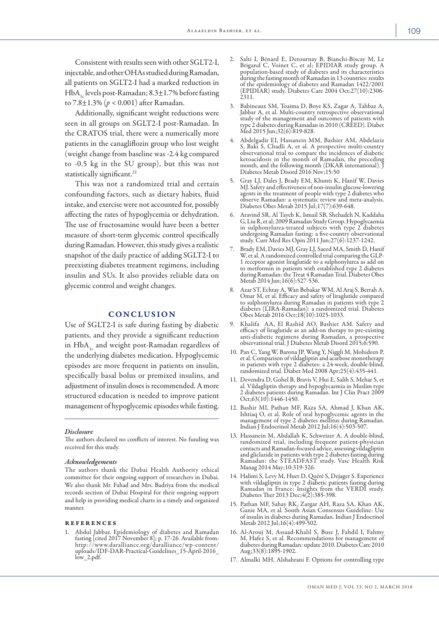Consistent with results seen with other SGLT2-I, injectable, and other OHAs studied during Ramadan, all patients on SGLT2-I had a marked reduction in HbA<sub>1c</sub> levels post-Ramadan;  $8.3 \pm 1.7$ % before fasting to 7.8±1.3% (*p* < 0.001) after Ramadan.

Additionally, significant weight reductions were seen in all groups on SGLT2-I post-Ramadan. In the CRATOS trial, there were a numerically more patients in the canagliflozin group who lost weight (weight change from baseline was -2.4 kg compared to -0.5 kg in the SU group), but this was not statistically significant.<sup>22</sup>

This was not a randomized trial and certain confounding factors, such as dietary habits, fluid intake, and exercise were not accounted for, possibly affecting the rates of hypoglycemia or dehydration. The use of fructosamine would have been a better measure of short-term glycemic control specifically during Ramadan. However, this study gives a realistic snapshot of the daily practice of adding SGLT2-I to preexisting diabetes treatment regimens, including insulin and SUs. It also provides reliable data on glycemic control and weight changes.

## CONCLUSION

Use of SGLT2-I is safe during fasting by diabetic patients, and they provide a significant reduction in HbA<sub>1c</sub> and weight post-Ramadan regardless of the underlying diabetes medication. Hypoglycemic episodes are more frequent in patients on insulin, specifically basal bolus or premixed insulins, and adjustment of insulin doses is recommended. A more structured education is needed to improve patient management of hypoglycemic episodes while fasting.

#### *Disclosure*

The authors declared no conflicts of interest. No funding was received for this study.

### *Acknowledgements*

The authors thank the Dubai Health Authority ethical committee for their ongoing support of researchers in Dubai. We also thank Mr. Fahad and Mrs. Badriya from the medical records section of Dubai Hospital for their ongoing support and help in providing medical charts in a timely and organized manner.

## references

1. Abdul Jabbar. Epidemiology of diabetes and Ramadan fasting [cited 2017 November 8]; p. 17-26. Available from: http://www.daralliance.org/daralliance/wp-content/ uploads/IDF-DAR-Practical-Guidelines\_15-April-2016\_<br>low\_2.pdf.

- 2. Salti I, Bénard E, Detournay B, Bianchi-Biscay M, Le Brigand C, Voinet C, et al; EPIDIAR study group. A population-based study of diabetes and its characteristics during the fasting month of Ramadan in 13 countries: results of the epidemiology of diabetes and Ramadan 1422/2001 (EPIDIAR) study. Diabetes Care 2004 Oct;27(10):2306- 2311.
- 3. Babineaux SM, Toaima D, Boye KS, Zagar A, Tahbaz A, Jabbar A, et al. Multi-country retrospective observational study of the management and outcomes of patients with type 2 diabetes during Ramadan in 2010 (CREED). Diabet Med 2015 Jun;32(6):819-828.
- 4. Abdelgadir EI, Hassanein MM, Bashier AM, Abdelaziz S, Baki S, Chadli A, et al. A prospective multi-country observational trial to compare the incidences of diabetic ketoacidosis in the month of Ramadan, the preceding month, and the following month (DKAR international). J month, and the following month (DKAR international). J<br>Diabetes Metab Disord 2016 Nov;15:50
- 5. Gray LJ, Dales J, Brady EM, Khunti K, Hanif W, Davies MJ. Safety and effectiveness of non-insulin glucose-lowering agents in the treatment of people with type 2 diabetes who observe Ramadan: a systematic review and meta-analysis. Diabetes Obes Metab 2015 Jul;17(7):639-648.
- 6. Aravind SR, Al Tayeb K, Ismail SB, Shehadeh N, Kaddaha G, Liu R, et al; 2009 Ramadan Study Group. Hypoglycaemia in sulphonylurea-treated subjects with type 2 diabetes in sulphonylurea-treated subjects with type 2 diabetes undergoing Ramadan fasting: a five-country observational study. Curr Med Res Opin 2011 Jun;27(6):1237-1242.
- 7. Brady EM, Davies MJ, Gray LJ, Saeed MA, Smith D, Hanif W, et al. A randomized controlled trial comparing the GLP-1 receptor agonist liraglutide to a sulphonylurea as add on to metformin in patients with established type 2 diabetes during Ramadan: the Treat 4 Ramadan Trial. Diabetes Obes Metab 2014 Jun; 16(6): 527-536.
- 8. Azar ST, Echtay A, Wan Bebakar WM, Al Araj S, Berrah A, Omar M, et al. Efficacy and safety of liraglutide compared to sulphonylurea during Ramadan in patients with type 2 diabetes (LIRA-Ramadan): a randomized trial. Dia Obes Metab 2016 Oct;18(10):1025-1033.
- 9. Khalifa AA, El Rashid AO, Bashier AM. Safety and efficacy of liraglutide as an add-on therapy to pre-existing observational trial. J Diabetes Metab Disord 2015;6:590.
- 10. Pan C, Yang W, Barona JP, Wang Y, Niggli M, Mohideen P, et al. Comparison of vildagliptin and acarbose monotherapy in patients with type 2 diabetes: a 24-week, double-blind, randomized trial. Diabet Med 2008 Apr;25(4):435-441.
- 11. Devendra D, Gohel B, Bravis V, Hui E, Salih S, Mehar S, et al. Vildagliptin therapy and hypoglycaemia in Muslim type 2 diabetes patients during Ramadan. Int J Clin Pract 2009 Oct;63(10):1446-1450.
- 12. Bashir MI, Pathan MF, Raza SA, Ahmad J, Khan AK, Ishtiaq O, et al. Role of oral hypoglycemic agents in the management of type 2 diabetes mellitus during Ramadan. Indian J Endocrinol Metab 2012 Jul;16(4):503-507.
- 13. Hassanein M, Abdallah K, Schweizer A. A double-blind, randomized trial, including frequent patient-physician and gliclazide in patients with type 2 diabetes fasting during Ramadan: the STEADFAST study. Vasc Health Risk Manag 2014 May;10:319-326.
- 14. Halimi S, Levy M, Huet D, Quéré S, Dejager S. Experience with vildagliptin in type 2 diabetic patients fasting during Ramadan in France: Insights from the VERDI study. Diabetes Ther 2013 Dec;4(2):385-398.
- 15. Pathan MF, Sahay RK, Zargar AH, Raza SA, Khan AK, Ganie MA, et al. South Asian Consensus Guideline: Use of insulin in diabetes during Ramadan. Indian J Endocrinol Metab 2012 Jul;16(4):499-502.
- 16. Al-Arouj M, Assaad-Khalil S, Buse J, Fahdil I, Fahmy M, Hafez S, et al. Recommendations for management of diabetes during Ramadan: update 2010. Diabetes Care 2010 Aug;33(8):1895-1902.
- 17. Almalki MH, Alshahrani F. Options for controlling type